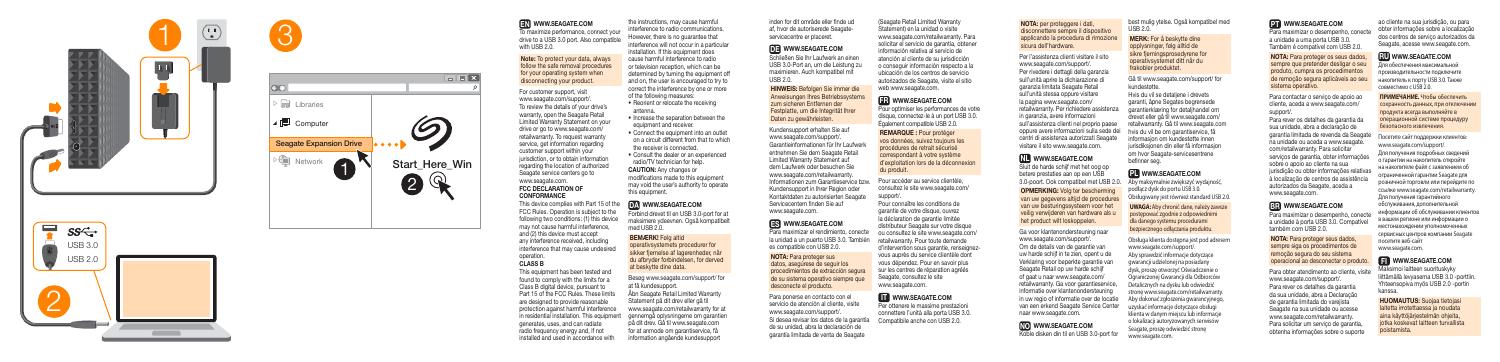#### EN WWW.SEAGATE.COM

To maximize performance, connect your drive to a USB 3.0 port. Also compatible with USB 2.0.

#### Note: To protect your data, always follow the safe removal procedures for your operating system when disconnecting your product.

#### FCC DECLARATION OF **CONFORMANCE**

For customer support, visit www.seagate.com/support/. To review the details of your drive's warranty, open the Seagate Retail Limited Warranty Statement on your drive or go to www.seagate.com/ retailwarranty. To request warranty service, get information regarding customer support within your jurisdiction, or to obtain information regarding the location of authorized Seagate service centers go to www.seagate.com.

the instructions, may cause harmful interference to radio communications. However, there is no guarantee that interference will not occur in a particular installation. If this equipment does cause harmful interference to radio or television reception, which can be determined by turning the equipment off and on, the user is encouraged to try to correct the interference by one or more<br>of the following measures: TRESCOM TRESCOM TRESCOM INCREDIBITY COMERCITE.COM INCREDIBITY COMERCITE COMERCITE COMERCITE COMERCITE COMERCITE COMERCITE COMERCITE COMERCITE COMERCITE COMERCITE COMERCITE COMERCITE COMERCITE COMERCITE COMERCITE COMERCITE

> This device complies with Part 15 of the FCC Rules. Operation is subject to the following two conditions: (1) this device may not cause harmful interference, and (2) this device must accept any interference received, including interference that may cause undesired operation.

#### CLASS B

- Reorient or relocate the receiving antenna.
- Increase the separation between the equipment and receiver.
- Connect the equipment into an outlet on a circuit different from that to which the receiver is connected.
- Consult the dealer or an experienced radio/TV technician for help. CAUTION: Any changes or modifications made to this equipment

Forbind drevet til en USB 3.0-port for at maksimere ydeevnen. Også kompatibelt med USB 2.0.

#### BEMÆRK! Følg altid

This equipment has been tested and found to comply with the limits for a Class B digital device, pursuant to Part 15 of the FCC Rules. These limits are designed to provide reasonable protection against harmful interference in residential installation. This equipment generates, uses, and can radiate radio frequency energy and, if not installed and used in accordance with

may void the user's authority to operate this equipment.

#### DA WWW.SEAGATE.COM

Pour accéder au service clientèle, consultez le site www.seagate.com/ support/

operativsystemets procedurer for sikker fjernelse af lagerenheder, når du afbryder forbindelsen, for derved at beskytte dine data.

Besøg www.seagate.com/support/ for at få kundesupport.

Åbn Seagate Retail Limited Warranty Statement på dit drev eller gå til www.seagate.com/retailwarranty for at gennemgå oplysningerne om garantien på dit drev. Gå til www.seagate.com for at anmode om garantiservice, få information angående kundesupport

Per ottenere le massime prestazione connettere l'unità alla porta USB 3.0. Compatibile anche con USB 2.0.

inden for dit område eller finde ud af, hvor de autoriserede Seagateservicecentre er placeret.

# DE WWW.SEAGATE.COM

Schließen Sie Ihr Laufwerk an einen USB 3.0-Port an, um die Leistung zu maximieren. Auch kompatibel mit USB 2.0.

HINWEIS: Befolgen Sie immer die Anweisungen Ihres Betriebssystem zum sicheren Entfernen der Festplatte, um die Integrität Ihrer Daten zu gewährleisten.

Kundensupport erhalten Sie auf www.seagate.com/support/. Garantieinformationen für Ihr Laufwerk entnehmen Sie dem Seagate Retail Limited Warranty Statement auf dem Laufwerk oder besuchen Sie www.seagate.com/retailwarranty. Informationen zum Garantieservice bzw. Kundensupport in Ihrer Region oder Kontaktdaten zu autorisierten Seagate Servicecentern finden Sie auf www.seagate.com.

# ES WWW.SEAGATE.COM

Para maximizar el rendimiento, conecte la unidad a un puerto USB 3.0. También es compatible con USB 2.0.

NOTA: Para proteger sus datos, asegúrese de seguir los procedimientos de extracción segura de su sistema operativo siempre que desconecte el producto.

Para ponerse en contacto con el servicio de atención al cliente, visite www.seagate.com/support/. Si desea revisar los datos de la garantía de su unidad, abra la declaración de garantía limitada de venta de Seagate

(Seagate Retail Limited Warranty Statement) en la unidad o visite www.seagate.com/retailwarranty. Para solicitar el servicio de garantía, obtener información relativa al servicio de atención al cliente de su jurisdicción o conseguir información respecto a la ubicación de los centros de servicio autorizados de Seagate, visite el sitio web www.seagate.com.

#### FR WWW.SEAGATE.COM

Para maximizar o desempenho, conect a unidade à porta USB 3.0. Compatível também com USB 2.0.

Pour optimiser les performances de votre disque, connectez-le à un port USB 3.0. Également compatible USB 2.0.

REMARQUE : Pour protéger vos données, suivez toujours les procédures de retrait sécurisé correspondant à votre système d'exploitation lors de la déconnexion du produit.

Pour connaître les conditions de garantie de votre disque, ouvrez la déclaration de garantie limitée distributeur Seagate sur votre disque ou consultez le site www.seagate.com/ retailwarranty. Pour toute demande d'intervention sous garantie, renseignezvous auprès du service clientèle dont vous dépendez. Pour en savoir plus sur les centres de réparation agréés Seagate, consultez le site www.seagate.com.

# **IT WWW.SEAGATE.COM**

NOTA: per proteggere i dati, disconnettere sempre il dispositivo applicando la procedura di rimozione sicura dell'hardware.

Per l'assistenza clienti visitare il sito www.seagate.com/support/. Per rivedere i dettagli della garanzia sull'unità aprire la dichiarazione di garanzia limitata Seagate Retail sull'unità stessa oppure visitare la pagina www.seagate.com/ retailwarranty. Per richiedere assistenza in garanzia, avere informazioni sull'assistenza clienti nel proprio paese oppure avere informazioni sulla sede dei hvis du vil be om garantiservice, få centri di assistenza autorizzati Seagate visitare il sito www.seagate.com.

#### NL WWW.SEAGATE.COM

Sluit de harde schijf met het oog op betere prestaties aan op een USB 3.0-poort. Ook compatibel met USB 2.0.

OPMERKING: Volg ter bescherming van uw gegevens altijd de procedures van uw besturingssysteem voor het veilig verwijderen van hardware als u het product wilt loskoppelen.

Ga voor klantenondersteuning naar www.seagate.com/support/. Om de details van de garantie van uw harde schijf in te zien, opent u de Verklaring voor beperkte garantie van Seagate Retail op uw harde schijf of gaat u naar www.seagate.com/ retailwarranty. Ga voor garantieservice, informatie over klantenondersteuning in uw regio of informatie over de locatie van een erkend Seagate Service Center naar www.seagate.com.

NO WWW.SEAGATE.COM Koble disken din til en USB 3.0-port for best mulig ytelse. Også kompatibel med USB 2.0.

MERK: For å beskytte dine opplysninger, følg alltid de sikre fjerningsprosedyrene for operativsystemet ditt når du frakobler produktet.

Gå til www.seagate.com/support/ for kundestøtte.

Hvis du vil se detaljene i drevets garanti, åpne Segates begrensede garantierklæring for detaljhandel om drevet eller gå til www.seagate.com/ retailwarranty. Gå til www.seagate.com informasjon om kundestøtte innen jurisdiksjonen din eller få informasjon om hvor Seagate-servicesentrene befinner seg.

#### PLWWW.SEAGATE.COM

Aby maksymalnie zwiększyć wydajność, podłącz dysk do portu USB 3.0. Obsługiwany jest również standard USB 2.0.

**UWAGA:** Aby chronić dane, należy zawsze postępować zgodnie z odpowiednimi dla danego systemu procedurami bezpiecznego odłączania produktu.

Obsługa klienta dostępna jest pod adresem www.seagate.com/support/. Aby sprawdzić informacie dotyczące gwarancji udzielonej na posiadany dysk, proszę otworzyć Oświadczenie o Ograniczonej Gwarancji dla Odbiorców Detalicznych na dysku lub odwiedzić stronę www.seagate.com/retailwarranty. Aby dokonać zgłoszenia gwarancyjnego, uzyskać informacje dotyczące obsługi klienta w danym miejscu lub informacje o lokalizacji autoryzowanych serwisów Seagate, proszę odwiedzić stronę www.seagate.com.



Para maximizar o desempenho, conecte a unidade a uma porta USB 3.0. Também é compatível com USB 2.0.

NOTA: Para proteger os seus dados, sempre que pretender desligar o seu produto, cumpra os procedimentos de remoção segura aplicáveis ao seu sistema operativo.

Para contactar o serviço de apoio ao cliente, aceda a www.seagate.com/ support/.

Para rever os detalhes da garantia da sua unidade, abra a declaração de garantia limitada de revenda da Seagate na unidade ou aceda a www.seagate. com/retailwarranty. Para solicitar servicos de garantia, obter informações sobre o apoio ao cliente na sua jurisdição ou obter informações relativa à localização de centros de assistência autorizados da Seagate, aceda a www.seagate.com.

# BR WWW.SEAGATE.COM

NOTA: Para proteger seus dados, sempre siga os procedimentos de remoção segura do seu sistema operacional ao desconectar o produto.

Para obter atendimento ao cliente, visite www.seagate.com/support/. Para rever os detalhes da garantia

da sua unidade, abra a Declaração de garantia limitada do varejista Seagate na sua unidade ou acesse www.seagate.com/retailwarranty. Para solicitar um servico de garantia obtenha informações sobre o suporte

ao cliente na sua jurisdição, ou para obter informações sobre a localização dos centros de serviço autorizados da Seagate, acesse www.seagate.com.

# RUWWW.SEAGATE.COM

Для обеспечения максимальной производительности подключите накопитель к порту USB 3.0. Также совместимо с USB 2.0.

**ПРИМЕЧАНИЕ.** Чтобы обеспечить сохранность данных, при отключении продукта всегда выполняйте в операционной системе процедуру безопасного извлечения.

Посетите сайт поддержки клиентов: www.seagate.com/support/.

Для получения подробных сведений о гарантии на накопитель откройте на накопителе файл с заявлением об ограниченной гарантии Seagate для розничной торговли или перейдите по ссылке www.seagate.com/retailwarranty. Для получения гарантийного обслуживания, дополнительной информации об обслуживании клиентов в вашем регионе или информации о местонахождении уполномоченных сервисных центров компании Seagate посетите веб-сайт www.seagate.com.

#### Fil www.seagate.com

Maksimoi laitteen suorituskyky liittämällä levyasema USB 3.0 -porttiin. Yhteensopiva myös USB 2.0 -portin kanssa.

HUOMAUTUS: Suojaa tietojasi laitetta irrotettaessa ja noudata aina käyttöjärjestelmän ohjeita, jotka koskevat laitteen turvallista poistamista.





3